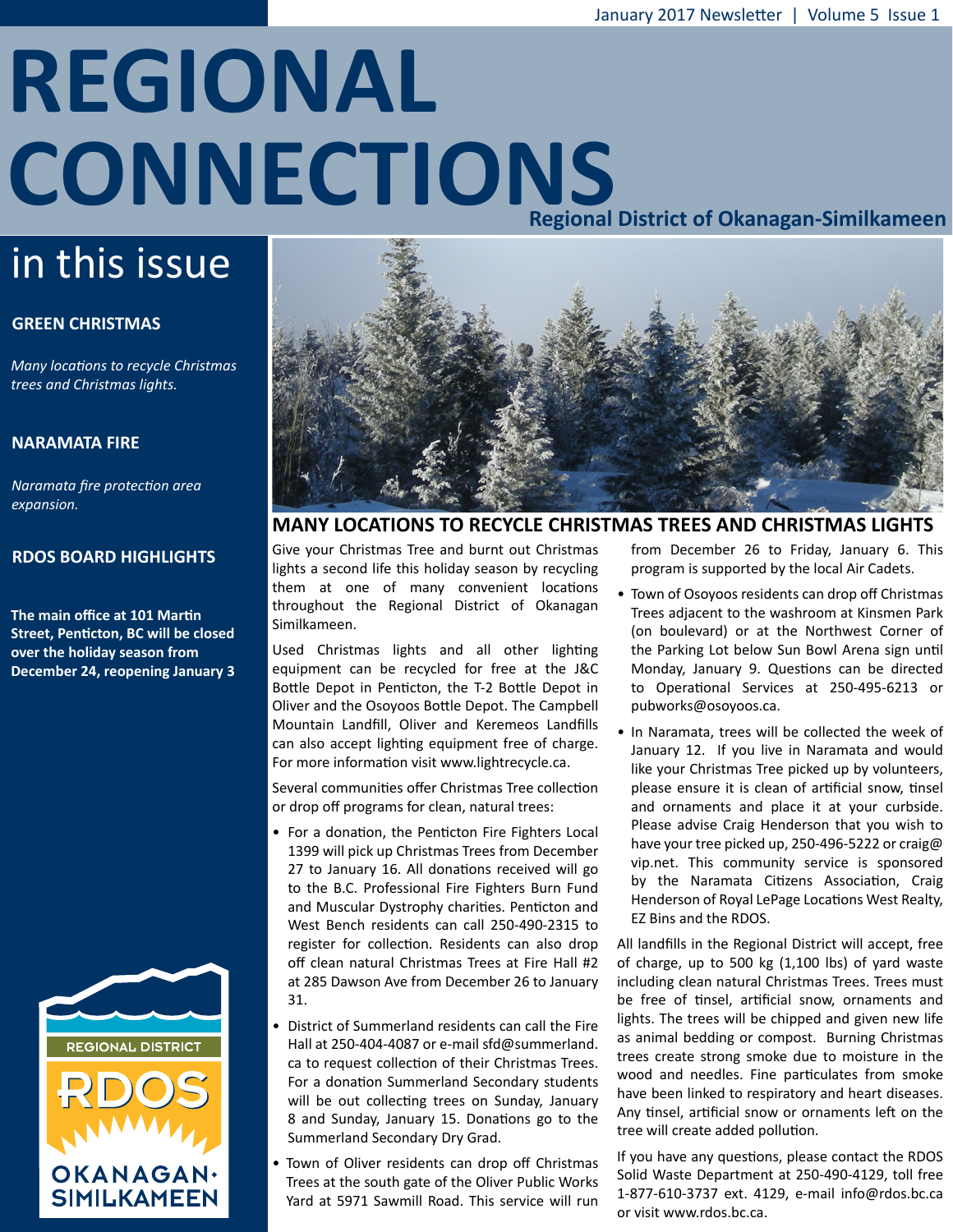# **REGIONAL CONNECTIONS Regional District of Okanagan-Similkameen**

## in this issue

#### **GREEN CHRISTMAS**

*Many locations to recycle Christmas trees and Christmas lights.*

#### **NARAMATA FIRE**

*Naramata fire protection area expansion.*

#### **RDOS BOARD HIGHLIGHTS**

**The main office at 101 Martin Street, Penticton, BC will be closed over the holiday season from December 24, reopening January 3**





#### **MANY LOCATIONS TO RECYCLE CHRISTMAS TREES AND CHRISTMAS LIGHTS**

Give your Christmas Tree and burnt out Christmas lights a second life this holiday season by recycling them at one of many convenient locations throughout the Regional District of Okanagan Similkameen.

Used Christmas lights and all other lighting equipment can be recycled for free at the J&C Bottle Depot in Penticton, the T-2 Bottle Depot in Oliver and the Osoyoos Bottle Depot. The Campbell Mountain Landfill, Oliver and Keremeos Landfills can also accept lighting equipment free of charge. For more information visit www.lightrecycle.ca.

Several communities offer Christmas Tree collection or drop off programs for clean, natural trees:

- For a donation, the Penticton Fire Fighters Local 1399 will pick up Christmas Trees from December 27 to January 16. All donations received will go to the B.C. Professional Fire Fighters Burn Fund and Muscular Dystrophy charities. Penticton and West Bench residents can call 250-490-2315 to register for collection. Residents can also drop off clean natural Christmas Trees at Fire Hall #2 at 285 Dawson Ave from December 26 to January 31.
- District of Summerland residents can call the Fire Hall at 250-404-4087 or e-mail sfd@summerland. ca to request collection of their Christmas Trees. For a donation Summerland Secondary students will be out collecting trees on Sunday, January 8 and Sunday, January 15. Donations go to the Summerland Secondary Dry Grad.
- Town of Oliver residents can drop off Christmas Trees at the south gate of the Oliver Public Works Yard at 5971 Sawmill Road. This service will run

from December 26 to Friday, January 6. This program is supported by the local Air Cadets.

- Town of Osoyoos residents can drop off Christmas Trees adjacent to the washroom at Kinsmen Park (on boulevard) or at the Northwest Corner of the Parking Lot below Sun Bowl Arena sign until Monday, January 9. Questions can be directed to Operational Services at 250-495-6213 or pubworks@osoyoos.ca.
- In Naramata, trees will be collected the week of January 12. If you live in Naramata and would like your Christmas Tree picked up by volunteers, please ensure it is clean of artificial snow, tinsel and ornaments and place it at your curbside. Please advise Craig Henderson that you wish to have your tree picked up, 250-496-5222 or craig@ vip.net. This community service is sponsored by the Naramata Citizens Association, Craig Henderson of Royal LePage Locations West Realty, EZ Bins and the RDOS.

All landfills in the Regional District will accept, free of charge, up to 500 kg (1,100 lbs) of yard waste including clean natural Christmas Trees. Trees must be free of tinsel, artificial snow, ornaments and lights. The trees will be chipped and given new life as animal bedding or compost. Burning Christmas trees create strong smoke due to moisture in the wood and needles. Fine particulates from smoke have been linked to respiratory and heart diseases. Any tinsel, artificial snow or ornaments left on the tree will create added pollution.

If you have any questions, please contact the RDOS Solid Waste Department at 250-490-4129, toll free 1-877-610-3737 ext. 4129, e-mail info@rdos.bc.ca or visit www.rdos.bc.ca.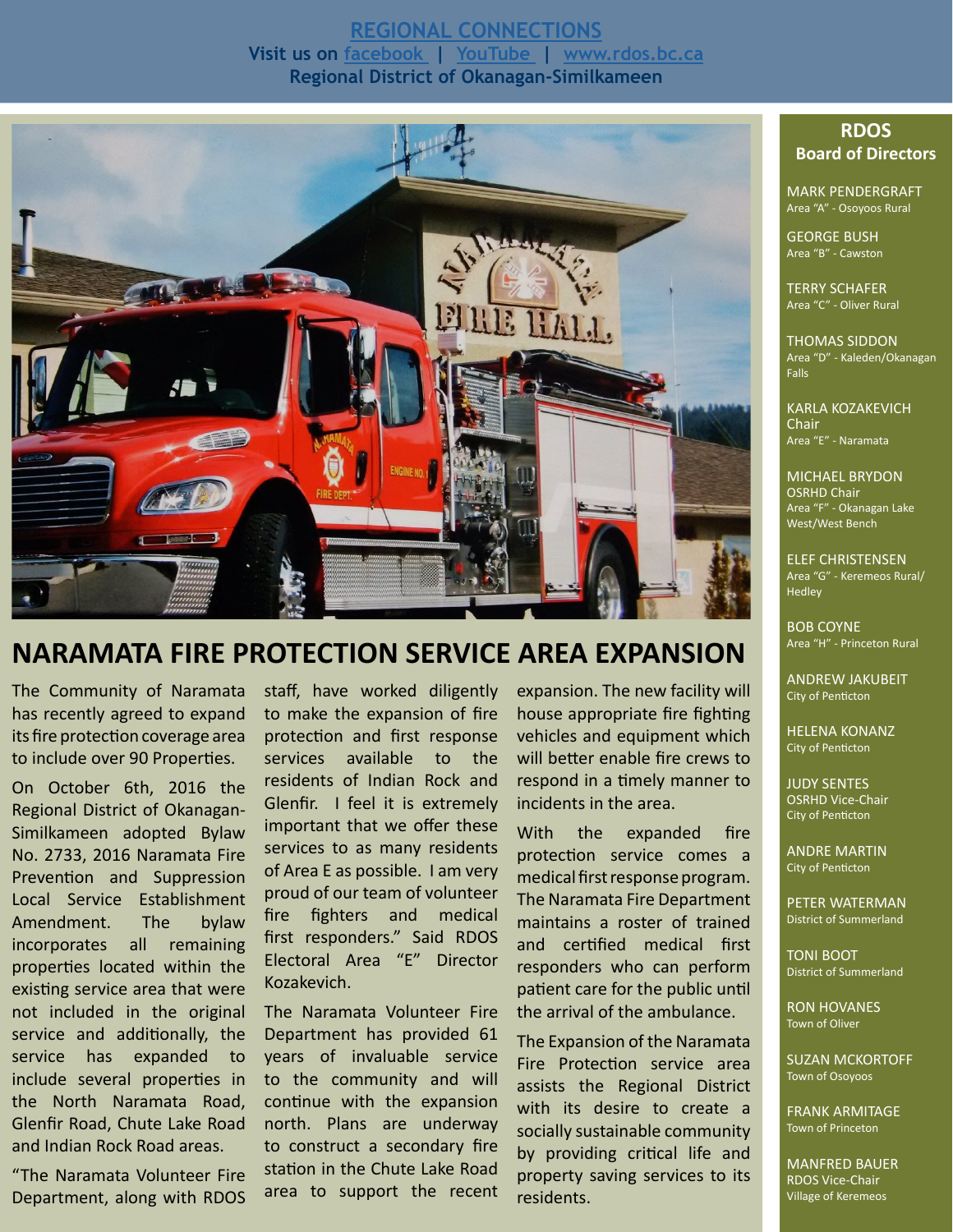#### **[REGIONAL CONNECTIONS](http://www.rdos.bc.ca/news-events/rdos-news/regional-connections-newsletter/) Visit us on [facebook](https://www.facebook.com/pages/Regional-District-of-Okanagan-Similkameen/838670432878677) | [YouTube](https://www.youtube.com/channel/UCB7OI2JsrBH8yAwE97iSkig) | [www.rdos.bc.ca](http://www.rdos.bc.ca/home/) Regional District of Okanagan-Similkameen**



### **NARAMATA FIRE PROTECTION SERVICE AREA EXPANSION**

The Community of Naramata has recently agreed to expand its fire protection coverage area to include over 90 Properties.

On October 6th, 2016 the Regional District of Okanagan-Similkameen adopted Bylaw No. 2733, 2016 Naramata Fire Prevention and Suppression Local Service Establishment Amendment. The bylaw incorporates all remaining properties located within the existing service area that were not included in the original service and additionally, the service has expanded to include several properties in the North Naramata Road, Glenfir Road, Chute Lake Road and Indian Rock Road areas.

"The Naramata Volunteer Fire Department, along with RDOS staff, have worked diligently to make the expansion of fire protection and first response services available to the residents of Indian Rock and Glenfir. I feel it is extremely important that we offer these services to as many residents of Area E as possible. I am very proud of our team of volunteer fire fighters and medical first responders." Said RDOS Electoral Area "E" Director Kozakevich.

The Naramata Volunteer Fire Department has provided 61 years of invaluable service to the community and will continue with the expansion north. Plans are underway to construct a secondary fire station in the Chute Lake Road area to support the recent expansion. The new facility will house appropriate fire fighting vehicles and equipment which will better enable fire crews to respond in a timely manner to incidents in the area.

With the expanded fire protection service comes a medical first response program. The Naramata Fire Department maintains a roster of trained and certified medical first responders who can perform patient care for the public until the arrival of the ambulance.

The Expansion of the Naramata Fire Protection service area assists the Regional District with its desire to create a socially sustainable community by providing critical life and property saving services to its residents.

#### **RDOS Board of Directors**

MARK PENDERGRAFT Area "A" - Osoyoos Rural

GEORGE BUSH Area "B" - Cawston

TERRY SCHAFER Area "C" - Oliver Rural

THOMAS SIDDON Area "D" - Kaleden/Okanagan Falls

KARLA KOZAKEVICH Chair Area "E" - Naramata

MICHAEL BRYDON OSRHD Chair Area "F" - Okanagan Lake West/West Bench

ELEF CHRISTENSEN Area "G" - Keremeos Rural/ Hedley

BOB COYNE Area "H" - Princeton Rural

ANDREW JAKUBEIT City of Penticton

HELENA KONANZ City of Penticton

JUDY SENTES OSRHD Vice-Chair City of Penticton

ANDRE MARTIN City of Penticton

PETER WATERMAN District of Summerland

TONI BOOT District of Summerland

RON HOVANES Town of Oliver

SUZAN MCKORTOFF Town of Osoyoos

FRANK ARMITAGE Town of Princeton

MANFRED BAUER RDOS Vice-Chair Village of Keremeos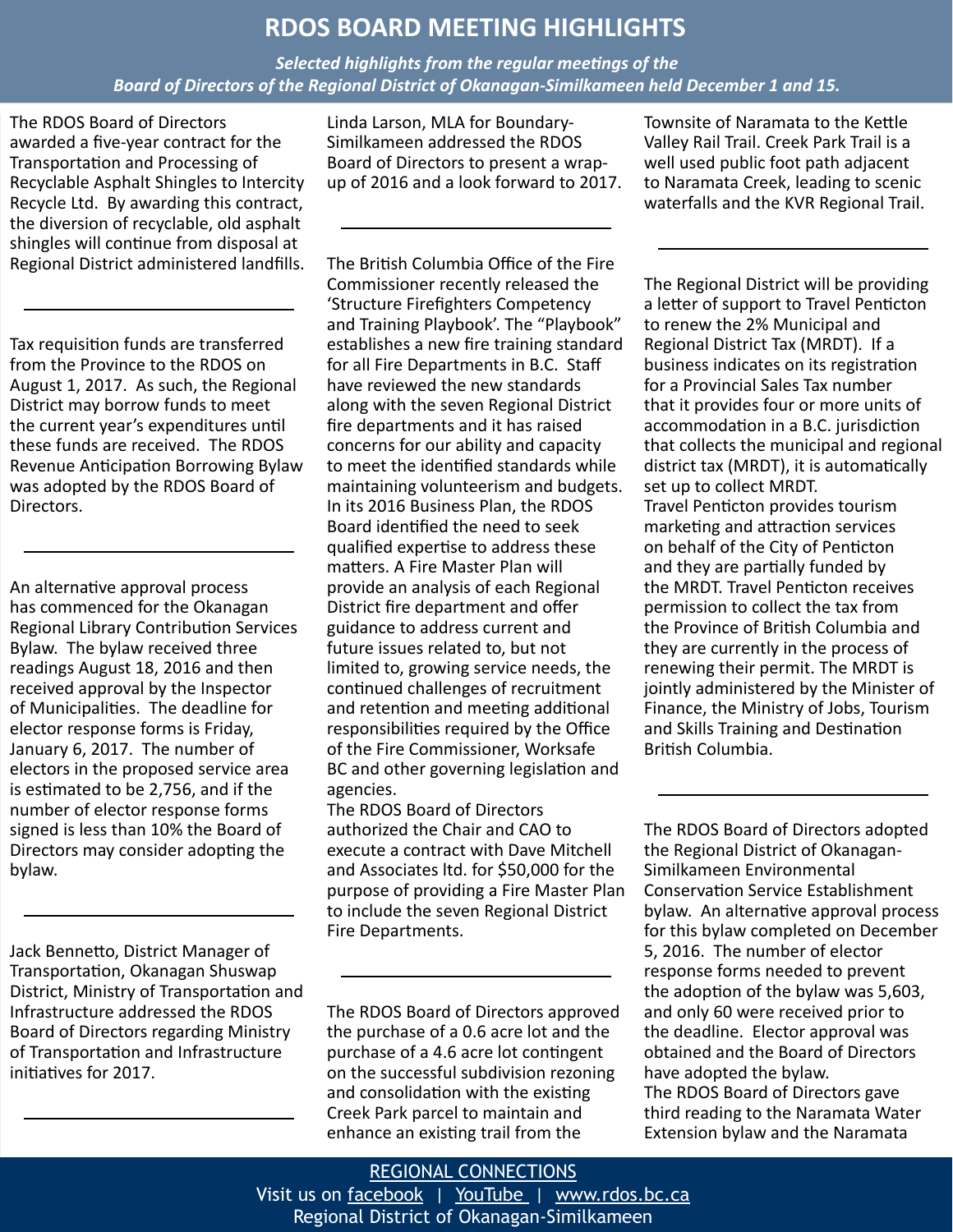### **RDOS BOARD MEETING HIGHLIGHTS**

*Selected highlights from the regular meetings of the Board of Directors of the Regional District of Okanagan-Similkameen held December 1 and 15.*

The RDOS Board of Directors awarded a five-year contract for the Transportation and Processing of Recyclable Asphalt Shingles to Intercity Recycle Ltd. By awarding this contract, the diversion of recyclable, old asphalt shingles will continue from disposal at Regional District administered landfills.

Tax requisition funds are transferred from the Province to the RDOS on August 1, 2017. As such, the Regional District may borrow funds to meet the current year's expenditures until these funds are received. The RDOS Revenue Anticipation Borrowing Bylaw was adopted by the RDOS Board of Directors.

An alternative approval process has commenced for the Okanagan Regional Library Contribution Services Bylaw. The bylaw received three readings August 18, 2016 and then received approval by the Inspector of Municipalities. The deadline for elector response forms is Friday, January 6, 2017. The number of electors in the proposed service area is estimated to be 2,756, and if the number of elector response forms signed is less than 10% the Board of Directors may consider adopting the bylaw.

Jack Bennetto, District Manager of Transportation, Okanagan Shuswap District, Ministry of Transportation and Infrastructure addressed the RDOS Board of Directors regarding Ministry of Transportation and Infrastructure initiatives for 2017.

Linda Larson, MLA for Boundary-Similkameen addressed the RDOS Board of Directors to present a wrapup of 2016 and a look forward to 2017.

The British Columbia Office of the Fire Commissioner recently released the 'Structure Firefighters Competency and Training Playbook'. The "Playbook" establishes a new fire training standard for all Fire Departments in B.C. Staff have reviewed the new standards along with the seven Regional District fire departments and it has raised concerns for our ability and capacity to meet the identified standards while maintaining volunteerism and budgets. In its 2016 Business Plan, the RDOS Board identified the need to seek qualified expertise to address these matters. A Fire Master Plan will provide an analysis of each Regional District fire department and offer guidance to address current and future issues related to, but not limited to, growing service needs, the continued challenges of recruitment and retention and meeting additional responsibilities required by the Office of the Fire Commissioner, Worksafe BC and other governing legislation and agencies.

The RDOS Board of Directors authorized the Chair and CAO to execute a contract with Dave Mitchell and Associates ltd. for \$50,000 for the purpose of providing a Fire Master Plan to include the seven Regional District Fire Departments.

The RDOS Board of Directors approved the purchase of a 0.6 acre lot and the purchase of a 4.6 acre lot contingent on the successful subdivision rezoning and consolidation with the existing Creek Park parcel to maintain and enhance an existing trail from the

Townsite of Naramata to the Kettle Valley Rail Trail. Creek Park Trail is a well used public foot path adjacent to Naramata Creek, leading to scenic waterfalls and the KVR Regional Trail.

The Regional District will be providing a letter of support to Travel Penticton to renew the 2% Municipal and Regional District Tax (MRDT). If a business indicates on its registration for a Provincial Sales Tax number that it provides four or more units of accommodation in a B.C. jurisdiction that collects the municipal and regional district tax (MRDT), it is automatically set up to collect MRDT. Travel Penticton provides tourism marketing and attraction services on behalf of the City of Penticton and they are partially funded by the MRDT. Travel Penticton receives permission to collect the tax from the Province of British Columbia and they are currently in the process of renewing their permit. The MRDT is jointly administered by the Minister of Finance, the Ministry of Jobs, Tourism and Skills Training and Destination British Columbia.

The RDOS Board of Directors adopted the Regional District of Okanagan-Similkameen Environmental Conservation Service Establishment bylaw. An alternative approval process for this bylaw completed on December 5, 2016. The number of elector response forms needed to prevent the adoption of the bylaw was 5,603, and only 60 were received prior to the deadline. Elector approval was obtained and the Board of Directors have adopted the bylaw. The RDOS Board of Directors gave third reading to the Naramata Water Extension bylaw and the Naramata